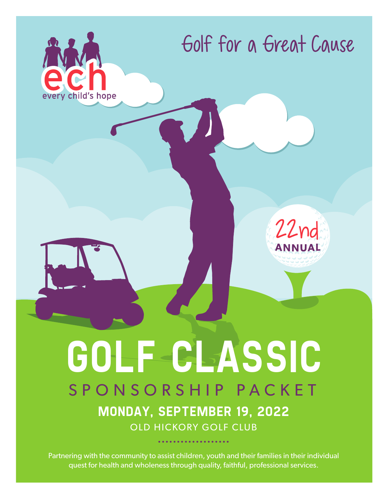

Partnering with the community to assist children, youth and their families in their individual quest for health and wholeness through quality, faithful, professional services.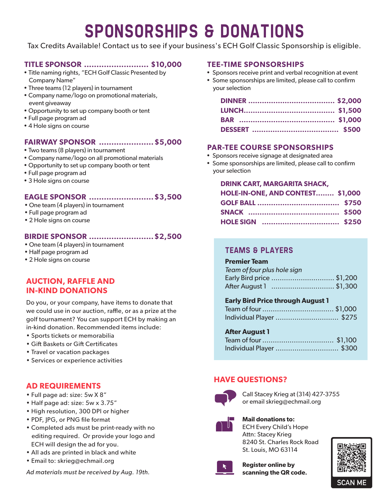# SponsorshipS & Donations

Tax Credits Available! Contact us to see if your business's ECH Golf Classic Sponsorship is eligible.

# **TITLE SPONSOR .......................... \$10,000**

- Title naming rights, "ECH Golf Classic Presented by Company Name"
- Three teams (12 players) in tournament
- Company name/logo on promotional materials, event giveaway
- Opportunity to set up company booth or tent
- Full page program ad
- 4 Hole signs on course

# **FAIRWAY SPONSOR ...................... \$5,000**

- Two teams (8 players) in tournament
- Company name/logo on all promotional materials
- Opportunity to set up company booth or tent
- Full page program ad
- 3 Hole signs on course

# **EAGLE SPONSOR ..........................\$3,500**

- One team (4 players) in tournament
- Full page program ad
- 2 Hole signs on course

# **BIRDIE SPONSOR ..........................\$2,500**

- One team (4 players) in tournament
- Half page program ad
- 2 Hole signs on course

# **AUCTION, RAFFLE AND IN-KIND DONATIONS**

Do you, or your company, have items to donate that we could use in our auction, raffle, or as a prize at the golf tournament? You can support ECH by making an in-kind donation. Recommended items include:

- Sports tickets or memorabilia
- Gift Baskets or Gift Certificates
- Travel or vacation packages
- Services or experience activities

# **AD REQUIREMENTS**

- Full page ad: size: 5w X 8"
- Half page ad: size: 5w x 3.75"
- High resolution, 300 DPI or higher
- PDF, JPG, or PNG file format
- Completed ads must be print-ready with no editing required. Or provide your logo and ECH will design the ad for you.
- All ads are printed in black and white
- Email to: skrieg@echmail.org

*Ad materials must be received by Aug. 19th.*

## **TEE-TIME SPONSORSHIPS**

- Sponsors receive print and verbal recognition at event
- Some sponsorships are limited, please call to confirm your selection

# **PAR-TEE COURSE SPONSORSHIPS**

- Sponsors receive signage at designated area
- Some sponsorships are limited, please call to confirm your selection

# **DRINK CART, MARGARITA SHACK,**

| HOLE-IN-ONE, AND CONTEST \$1,000 |  |
|----------------------------------|--|
|                                  |  |
|                                  |  |
|                                  |  |

# TEAMS & Players

### **Premier Team**

| Team of four plus hole sign |  |
|-----------------------------|--|
| Early Bird price \$1,200    |  |
| After August 1 \$1,300      |  |

# **Early Bird Price through August 1**

| Individual Player  \$275 |  |
|--------------------------|--|

# **After August 1**

| Individual Player  \$300 |  |
|--------------------------|--|

# **HAVE QUESTIONS?**



Call Stacey Krieg at (314) 427-3755 or email skrieg@echmail.org



**Mail donations to:** ECH Every Child's Hope Attn: Stacey Krieg 8240 St. Charles Rock Road St. Louis, MO 63114



**Register online by scanning the QR code.** 



**SCAN M**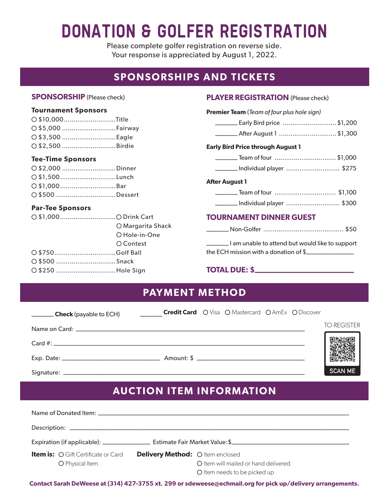# donation & GOlfer registration

Please complete golfer registration on reverse side. Your response is appreciated by August 1, 2022.

# **SPONSORSHIPS AND TICKETS**

# **SPONSORSHIP** (Please check)

### **Tournament Sponsors**

| O \$10,000Title   |  |
|-------------------|--|
| ○ \$5,000 Fairway |  |
|                   |  |
| O \$2,500 Birdie  |  |

#### **Tee-Time Sponsors**

| O \$2,000 Dinner        |  |
|-------------------------|--|
| $\bigcirc$ \$1,500Lunch |  |
|                         |  |
| O \$500 Dessert         |  |

# **Par-Tee Sponsors**

| O \$1,000O Drink Cart |                   |
|-----------------------|-------------------|
|                       | ○ Margarita Shack |
|                       | O Hole-in-One     |
|                       | O Contest         |
| O \$750Golf Ball      |                   |
| O \$500 Snack         |                   |
| ○ \$250 Hole Sign     |                   |
|                       |                   |

## **PLAYER REGISTRATION (Please check)**

| <b>Premier Team</b> (Team of four plus hole sign) |  |  |
|---------------------------------------------------|--|--|
| Early Bird price \$1,200                          |  |  |
| ________ After August 1 \$1,300                   |  |  |
| <b>Early Bird Price through August 1</b>          |  |  |
|                                                   |  |  |
| _______ Individual player \$275                   |  |  |
| <b>After August 1</b>                             |  |  |
|                                                   |  |  |
| _______ Individual player  \$300                  |  |  |
| <b>TOURNAMENT DINNER GUEST</b>                    |  |  |

| I am unable to attend but would like to support |  |
|-------------------------------------------------|--|
| the ECH mission with a donation of \$           |  |

# **TOTAL DUE: \$\_\_\_\_\_\_\_\_\_\_\_\_\_\_\_\_\_\_\_\_\_\_\_\_\_**

| <b>PAYMENT METHOD</b>         |                                                          |                    |
|-------------------------------|----------------------------------------------------------|--------------------|
| <b>Check</b> (payable to ECH) | <b>Credit Card</b> O Visa O Mastercard O AmEx O Discover |                    |
|                               |                                                          | <b>TO REGISTER</b> |
|                               |                                                          |                    |
|                               |                                                          |                    |
|                               |                                                          | <b>SCAN ME</b>     |

# **AUCTION ITEM INFORMATION**

| <b>Item is:</b> O Gift Certificate or Card<br>O Physical Item | Delivery Method: Oltem enclosed | O Item will mailed or hand delivered<br>O Item needs to be picked up |
|---------------------------------------------------------------|---------------------------------|----------------------------------------------------------------------|

**Contact Sarah DeWeese at (314) 427-3755 xt. 299 or sdeweese@echmail.org for pick up/delivery arrangements.**